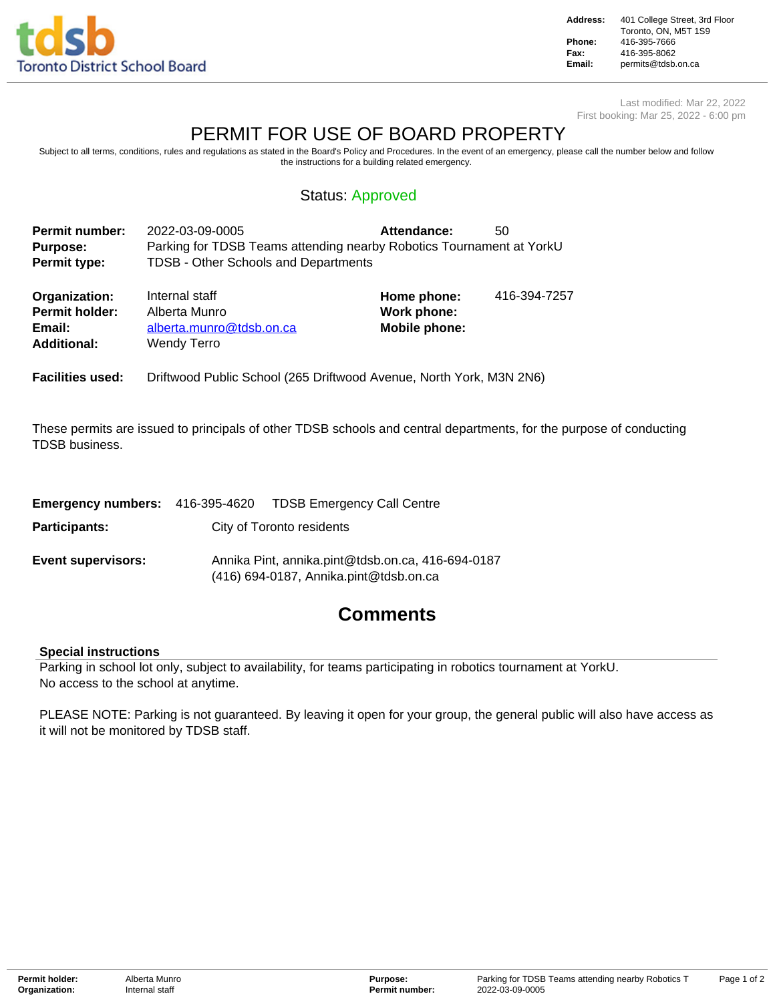

**Address:** 401 College Street, 3rd Floor Toronto, ON, M5T 1S9 **Phone:** 416-395-7666 **Fax:** 416-395-8062<br>**Email:** permits@tdsb. **Email:** permits@tdsb.on.ca

Last modified: Mar 22, 2022 First booking: Mar 25, 2022 - 6:00 pm

# PERMIT FOR USE OF BOARD PROPERTY

Subject to all terms, conditions, rules and regulations as stated in the Board's Policy and Procedures. In the event of an emergency, please call the number below and follow the instructions for a building related emergency.

### Status: Approved

| <b>Permit number:</b> | 2022-03-09-0005                             | Attendance:                                                          | -50 |
|-----------------------|---------------------------------------------|----------------------------------------------------------------------|-----|
| <b>Purpose:</b>       |                                             | Parking for TDSB Teams attending nearby Robotics Tournament at YorkU |     |
| Permit type:          | <b>TDSB - Other Schools and Departments</b> |                                                                      |     |

| Organization:                | Internal staff                          | Home phone:   | 416-394-7257 |
|------------------------------|-----------------------------------------|---------------|--------------|
| <b>Permit holder:</b>        | Alberta Munro                           | Work phone:   |              |
| Email:<br><b>Additional:</b> | alberta.munro@tdsb.on.ca<br>Wendy Terro | Mobile phone: |              |

**Facilities used:** Driftwood Public School (265 Driftwood Avenue, North York, M3N 2N6)

These permits are issued to principals of other TDSB schools and central departments, for the purpose of conducting TDSB business.

|                           |                           | <b>Emergency numbers:</b> 416-395-4620 TDSB Emergency Call Centre                           |  |  |
|---------------------------|---------------------------|---------------------------------------------------------------------------------------------|--|--|
| Participants:             | City of Toronto residents |                                                                                             |  |  |
| <b>Event supervisors:</b> |                           | Annika Pint, annika.pint@tdsb.on.ca, 416-694-0187<br>(416) 694-0187, Annika.pint@tdsb.on.ca |  |  |

# **Comments**

#### **Special instructions**

Parking in school lot only, subject to availability, for teams participating in robotics tournament at YorkU. No access to the school at anytime.

PLEASE NOTE: Parking is not guaranteed. By leaving it open for your group, the general public will also have access as it will not be monitored by TDSB staff.